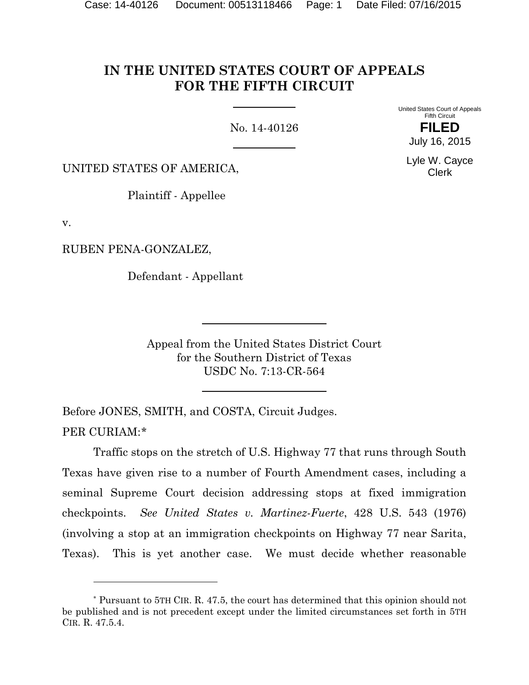# **IN THE UNITED STATES COURT OF APPEALS FOR THE FIFTH CIRCUIT**

No. 14-40126

United States Court of Appeals Fifth Circuit

> **FILED** July 16, 2015

Lyle W. Cayce Clerk

UNITED STATES OF AMERICA,

Plaintiff - Appellee

v.

l

RUBEN PENA-GONZALEZ,

Defendant - Appellant

Appeal from the United States District Court for the Southern District of Texas USDC No. 7:13-CR-564

Before JONES, SMITH, and COSTA, Circuit Judges. PER CURIAM:[\\*](#page-0-0)

Traffic stops on the stretch of U.S. Highway 77 that runs through South Texas have given rise to a number of Fourth Amendment cases, including a seminal Supreme Court decision addressing stops at fixed immigration checkpoints. *See United States v. Martinez-Fuerte*, 428 U.S. 543 (1976) (involving a stop at an immigration checkpoints on Highway 77 near Sarita, Texas). This is yet another case. We must decide whether reasonable

<span id="page-0-0"></span><sup>\*</sup> Pursuant to 5TH CIR. R. 47.5, the court has determined that this opinion should not be published and is not precedent except under the limited circumstances set forth in 5TH CIR. R. 47.5.4.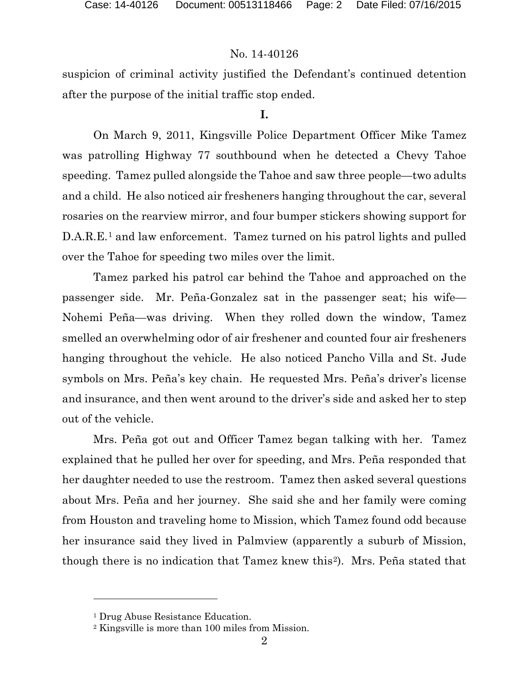suspicion of criminal activity justified the Defendant's continued detention after the purpose of the initial traffic stop ended.

#### **I.**

On March 9, 2011, Kingsville Police Department Officer Mike Tamez was patrolling Highway 77 southbound when he detected a Chevy Tahoe speeding. Tamez pulled alongside the Tahoe and saw three people—two adults and a child. He also noticed air fresheners hanging throughout the car, several rosaries on the rearview mirror, and four bumper stickers showing support for D.A.R.E.[1](#page-1-0) and law enforcement. Tamez turned on his patrol lights and pulled over the Tahoe for speeding two miles over the limit.

Tamez parked his patrol car behind the Tahoe and approached on the passenger side. Mr. Peña-Gonzalez sat in the passenger seat; his wife— Nohemi Peña—was driving. When they rolled down the window, Tamez smelled an overwhelming odor of air freshener and counted four air fresheners hanging throughout the vehicle. He also noticed Pancho Villa and St. Jude symbols on Mrs. Peña's key chain. He requested Mrs. Peña's driver's license and insurance, and then went around to the driver's side and asked her to step out of the vehicle.

Mrs. Peña got out and Officer Tamez began talking with her. Tamez explained that he pulled her over for speeding, and Mrs. Peña responded that her daughter needed to use the restroom. Tamez then asked several questions about Mrs. Peña and her journey. She said she and her family were coming from Houston and traveling home to Mission, which Tamez found odd because her insurance said they lived in Palmview (apparently a suburb of Mission, though there is no indication that Tamez knew this[2\)](#page-1-1). Mrs. Peña stated that

l

<span id="page-1-0"></span><sup>&</sup>lt;sup>1</sup> Drug Abuse Resistance Education.

<span id="page-1-1"></span><sup>2</sup> Kingsville is more than 100 miles from Mission.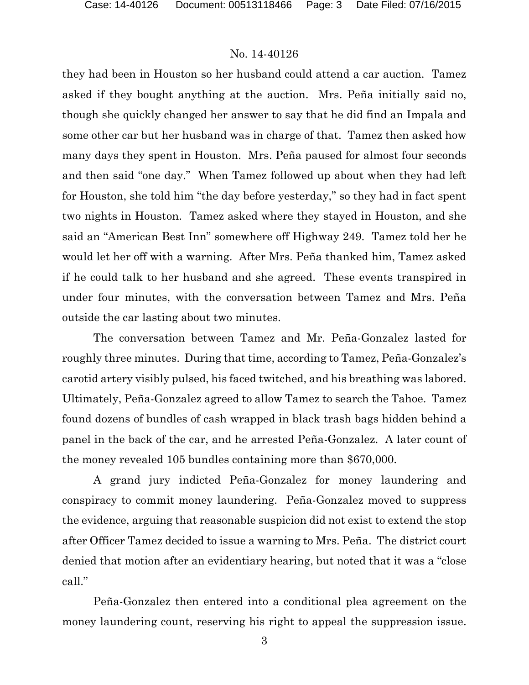they had been in Houston so her husband could attend a car auction. Tamez asked if they bought anything at the auction. Mrs. Peña initially said no, though she quickly changed her answer to say that he did find an Impala and some other car but her husband was in charge of that. Tamez then asked how many days they spent in Houston. Mrs. Peña paused for almost four seconds and then said "one day." When Tamez followed up about when they had left for Houston, she told him "the day before yesterday," so they had in fact spent two nights in Houston. Tamez asked where they stayed in Houston, and she said an "American Best Inn" somewhere off Highway 249. Tamez told her he would let her off with a warning. After Mrs. Peña thanked him, Tamez asked if he could talk to her husband and she agreed. These events transpired in under four minutes, with the conversation between Tamez and Mrs. Peña outside the car lasting about two minutes.

The conversation between Tamez and Mr. Peña-Gonzalez lasted for roughly three minutes. During that time, according to Tamez, Peña-Gonzalez's carotid artery visibly pulsed, his faced twitched, and his breathing was labored. Ultimately, Peña-Gonzalez agreed to allow Tamez to search the Tahoe. Tamez found dozens of bundles of cash wrapped in black trash bags hidden behind a panel in the back of the car, and he arrested Peña-Gonzalez. A later count of the money revealed 105 bundles containing more than \$670,000.

A grand jury indicted Peña-Gonzalez for money laundering and conspiracy to commit money laundering. Peña-Gonzalez moved to suppress the evidence, arguing that reasonable suspicion did not exist to extend the stop after Officer Tamez decided to issue a warning to Mrs. Peña. The district court denied that motion after an evidentiary hearing, but noted that it was a "close call."

Peña-Gonzalez then entered into a conditional plea agreement on the money laundering count, reserving his right to appeal the suppression issue.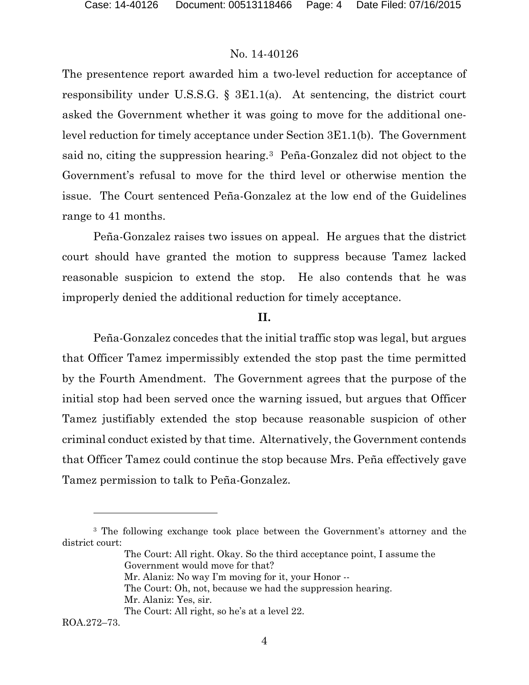The presentence report awarded him a two-level reduction for acceptance of responsibility under U.S.S.G. § 3E1.1(a). At sentencing, the district court asked the Government whether it was going to move for the additional onelevel reduction for timely acceptance under Section 3E1.1(b). The Government said no, citing the suppression hearing.[3](#page-3-0) Peña-Gonzalez did not object to the Government's refusal to move for the third level or otherwise mention the issue. The Court sentenced Peña-Gonzalez at the low end of the Guidelines range to 41 months.

Peña-Gonzalez raises two issues on appeal. He argues that the district court should have granted the motion to suppress because Tamez lacked reasonable suspicion to extend the stop. He also contends that he was improperly denied the additional reduction for timely acceptance.

#### **II.**

Peña-Gonzalez concedes that the initial traffic stop was legal, but argues that Officer Tamez impermissibly extended the stop past the time permitted by the Fourth Amendment. The Government agrees that the purpose of the initial stop had been served once the warning issued, but argues that Officer Tamez justifiably extended the stop because reasonable suspicion of other criminal conduct existed by that time. Alternatively, the Government contends that Officer Tamez could continue the stop because Mrs. Peña effectively gave Tamez permission to talk to Peña-Gonzalez.

The Court: All right. Okay. So the third acceptance point, I assume the Government would move for that? Mr. Alaniz: No way I'm moving for it, your Honor -- The Court: Oh, not, because we had the suppression hearing. Mr. Alaniz: Yes, sir.

ROA.272–73.

 $\overline{a}$ 

<span id="page-3-0"></span><sup>3</sup> The following exchange took place between the Government's attorney and the district court:

The Court: All right, so he's at a level 22.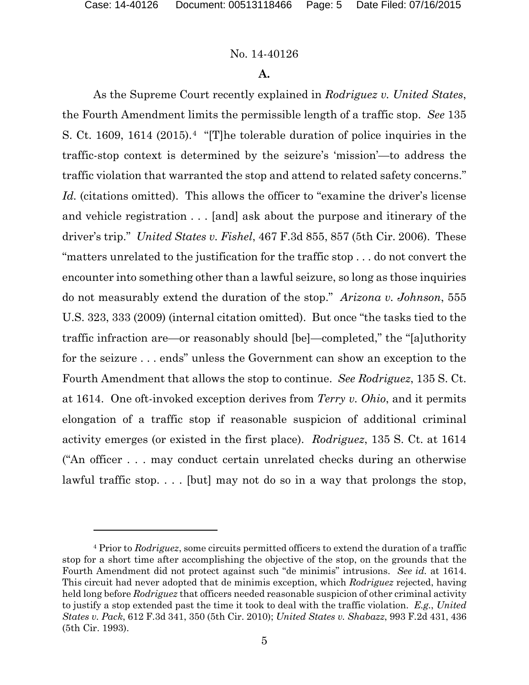l

# No. 14-40126

# **A.**

As the Supreme Court recently explained in *Rodriguez v. United States*, the Fourth Amendment limits the permissible length of a traffic stop. *See* 135 S. Ct. 1609, 1614 (2015).[4](#page-4-0) "[T]he tolerable duration of police inquiries in the traffic-stop context is determined by the seizure's 'mission'—to address the traffic violation that warranted the stop and attend to related safety concerns." Id. (citations omitted). This allows the officer to "examine the driver's license and vehicle registration . . . [and] ask about the purpose and itinerary of the driver's trip." *United States v. Fishel*, 467 F.3d 855, 857 (5th Cir. 2006). These "matters unrelated to the justification for the traffic stop . . . do not convert the encounter into something other than a lawful seizure, so long as those inquiries do not measurably extend the duration of the stop." *Arizona v. Johnson*, 555 U.S. 323, 333 (2009) (internal citation omitted). But once "the tasks tied to the traffic infraction are—or reasonably should [be]—completed," the "[a]uthority for the seizure . . . ends" unless the Government can show an exception to the Fourth Amendment that allows the stop to continue. *See Rodriguez*, 135 S. Ct. at 1614. One oft-invoked exception derives from *Terry v. Ohio*, and it permits elongation of a traffic stop if reasonable suspicion of additional criminal activity emerges (or existed in the first place). *Rodriguez*, 135 S. Ct. at 1614 ("An officer . . . may conduct certain unrelated checks during an otherwise lawful traffic stop. . . . [but] may not do so in a way that prolongs the stop,

<span id="page-4-0"></span><sup>4</sup> Prior to *Rodriguez*, some circuits permitted officers to extend the duration of a traffic stop for a short time after accomplishing the objective of the stop, on the grounds that the Fourth Amendment did not protect against such "de minimis" intrusions. *See id.* at 1614. This circuit had never adopted that de minimis exception, which *Rodriguez* rejected, having held long before *Rodriguez* that officers needed reasonable suspicion of other criminal activity to justify a stop extended past the time it took to deal with the traffic violation. *E.g.*, *United States v. Pack*, 612 F.3d 341, 350 (5th Cir. 2010); *United States v. Shabazz*, 993 F.2d 431, 436 (5th Cir. 1993).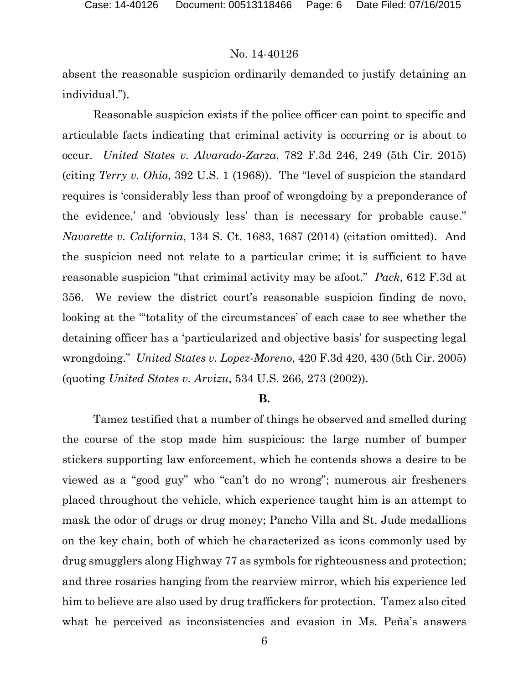absent the reasonable suspicion ordinarily demanded to justify detaining an individual.").

Reasonable suspicion exists if the police officer can point to specific and articulable facts indicating that criminal activity is occurring or is about to occur. *United States v. Alvarado-Zarza*, 782 F.3d 246, 249 (5th Cir. 2015) (citing *Terry v. Ohio*, 392 U.S. 1 (1968)). The "level of suspicion the standard requires is 'considerably less than proof of wrongdoing by a preponderance of the evidence,' and 'obviously less' than is necessary for probable cause." *Navarette v. California*, 134 S. Ct. 1683, 1687 (2014) (citation omitted). And the suspicion need not relate to a particular crime; it is sufficient to have reasonable suspicion "that criminal activity may be afoot." *Pack*, 612 F.3d at 356. We review the district court's reasonable suspicion finding de novo, looking at the "'totality of the circumstances' of each case to see whether the detaining officer has a 'particularized and objective basis' for suspecting legal wrongdoing." *United States v. Lopez-Moreno*, 420 F.3d 420, 430 (5th Cir. 2005) (quoting *United States v. Arvizu*, 534 U.S. 266, 273 (2002)).

#### **B.**

Tamez testified that a number of things he observed and smelled during the course of the stop made him suspicious: the large number of bumper stickers supporting law enforcement, which he contends shows a desire to be viewed as a "good guy" who "can't do no wrong"; numerous air fresheners placed throughout the vehicle, which experience taught him is an attempt to mask the odor of drugs or drug money; Pancho Villa and St. Jude medallions on the key chain, both of which he characterized as icons commonly used by drug smugglers along Highway 77 as symbols for righteousness and protection; and three rosaries hanging from the rearview mirror, which his experience led him to believe are also used by drug traffickers for protection. Tamez also cited what he perceived as inconsistencies and evasion in Ms. Peña's answers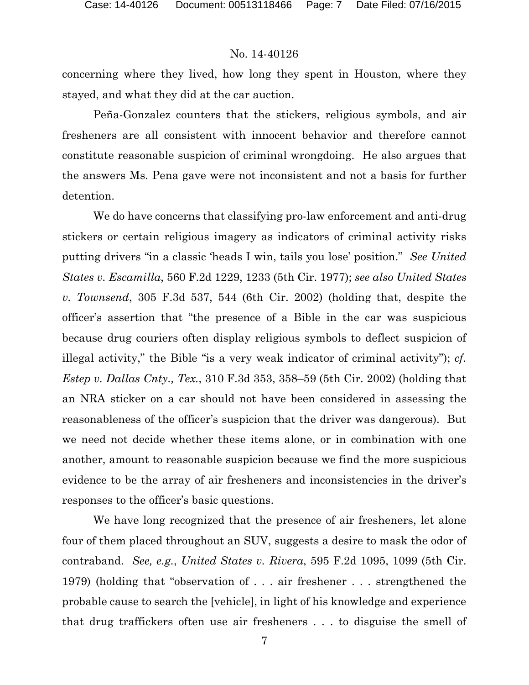concerning where they lived, how long they spent in Houston, where they stayed, and what they did at the car auction.

Peña-Gonzalez counters that the stickers, religious symbols, and air fresheners are all consistent with innocent behavior and therefore cannot constitute reasonable suspicion of criminal wrongdoing. He also argues that the answers Ms. Pena gave were not inconsistent and not a basis for further detention.

We do have concerns that classifying pro-law enforcement and anti-drug stickers or certain religious imagery as indicators of criminal activity risks putting drivers "in a classic 'heads I win, tails you lose' position." *See United States v. Escamilla*, 560 F.2d 1229, 1233 (5th Cir. 1977); *see also United States v. Townsend*, 305 F.3d 537, 544 (6th Cir. 2002) (holding that, despite the officer's assertion that "the presence of a Bible in the car was suspicious because drug couriers often display religious symbols to deflect suspicion of illegal activity," the Bible "is a very weak indicator of criminal activity"); *cf. Estep v. Dallas Cnty., Tex.*, 310 F.3d 353, 358–59 (5th Cir. 2002) (holding that an NRA sticker on a car should not have been considered in assessing the reasonableness of the officer's suspicion that the driver was dangerous). But we need not decide whether these items alone, or in combination with one another, amount to reasonable suspicion because we find the more suspicious evidence to be the array of air fresheners and inconsistencies in the driver's responses to the officer's basic questions.

We have long recognized that the presence of air fresheners, let alone four of them placed throughout an SUV, suggests a desire to mask the odor of contraband. *See, e.g.*, *United States v. Rivera*, 595 F.2d 1095, 1099 (5th Cir. 1979) (holding that "observation of . . . air freshener . . . strengthened the probable cause to search the [vehicle], in light of his knowledge and experience that drug traffickers often use air fresheners . . . to disguise the smell of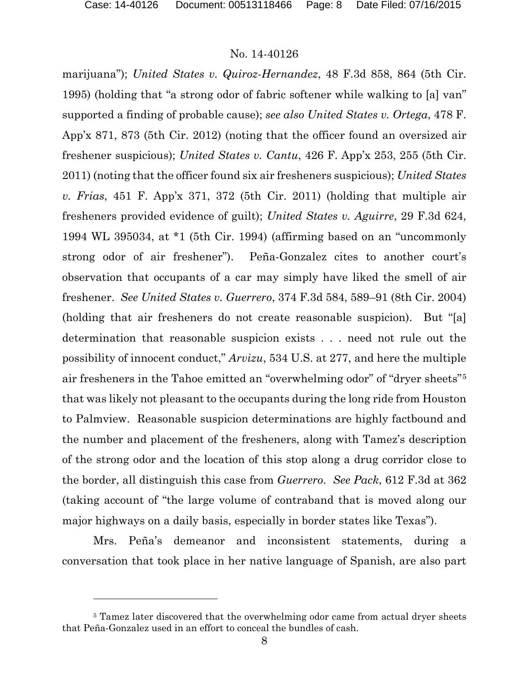l

#### No. 14-40126

marijuana"); *United States v. Quiroz-Hernandez*, 48 F.3d 858, 864 (5th Cir. 1995) (holding that "a strong odor of fabric softener while walking to [a] van" supported a finding of probable cause); *see also United States v. Ortega*, 478 F. App'x 871, 873 (5th Cir. 2012) (noting that the officer found an oversized air freshener suspicious); *United States v. Cantu*, 426 F. App'x 253, 255 (5th Cir. 2011) (noting that the officer found six air fresheners suspicious); *United States v. Frias*, 451 F. App'x 371, 372 (5th Cir. 2011) (holding that multiple air fresheners provided evidence of guilt); *United States v. Aguirre*, 29 F.3d 624, 1994 WL 395034, at \*1 (5th Cir. 1994) (affirming based on an "uncommonly strong odor of air freshener"). Peña-Gonzalez cites to another court's observation that occupants of a car may simply have liked the smell of air freshener. *See United States v. Guerrero*, 374 F.3d 584, 589–91 (8th Cir. 2004) (holding that air fresheners do not create reasonable suspicion). But "[a] determination that reasonable suspicion exists . . . need not rule out the possibility of innocent conduct," *Arvizu*, 534 U.S. at 277, and here the multiple air fresheners in the Tahoe emitted an "overwhelming odor" of "dryer sheets"[5](#page-7-0) that was likely not pleasant to the occupants during the long ride from Houston to Palmview. Reasonable suspicion determinations are highly factbound and the number and placement of the fresheners, along with Tamez's description of the strong odor and the location of this stop along a drug corridor close to the border, all distinguish this case from *Guerrero*. *See Pack*, 612 F.3d at 362 (taking account of "the large volume of contraband that is moved along our major highways on a daily basis, especially in border states like Texas").

Mrs. Peña's demeanor and inconsistent statements, during a conversation that took place in her native language of Spanish, are also part

<span id="page-7-0"></span><sup>&</sup>lt;sup>5</sup> Tamez later discovered that the overwhelming odor came from actual dryer sheets that Peña-Gonzalez used in an effort to conceal the bundles of cash.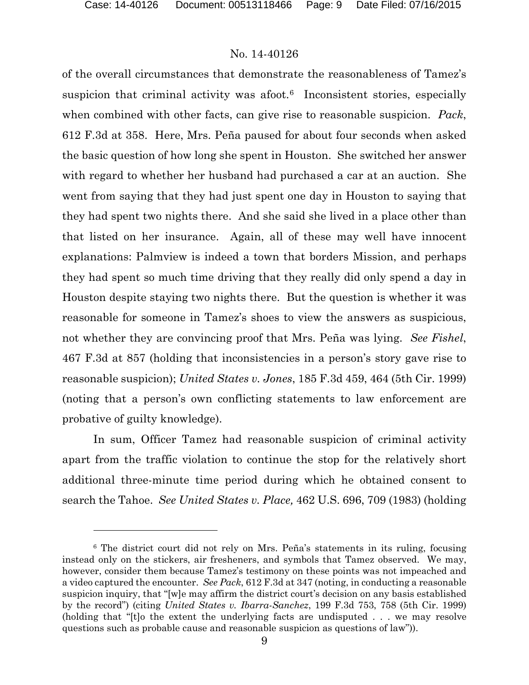$\overline{a}$ 

#### No. 14-40126

of the overall circumstances that demonstrate the reasonableness of Tamez's suspicion that criminal activity was afoot.<sup>[6](#page-8-0)</sup> Inconsistent stories, especially when combined with other facts, can give rise to reasonable suspicion. *Pack*, 612 F.3d at 358. Here, Mrs. Peña paused for about four seconds when asked the basic question of how long she spent in Houston. She switched her answer with regard to whether her husband had purchased a car at an auction. She went from saying that they had just spent one day in Houston to saying that they had spent two nights there. And she said she lived in a place other than that listed on her insurance. Again, all of these may well have innocent explanations: Palmview is indeed a town that borders Mission, and perhaps they had spent so much time driving that they really did only spend a day in Houston despite staying two nights there. But the question is whether it was reasonable for someone in Tamez's shoes to view the answers as suspicious, not whether they are convincing proof that Mrs. Peña was lying. *See Fishel*, 467 F.3d at 857 (holding that inconsistencies in a person's story gave rise to reasonable suspicion); *United States v. Jones*, 185 F.3d 459, 464 (5th Cir. 1999) (noting that a person's own conflicting statements to law enforcement are probative of guilty knowledge).

In sum, Officer Tamez had reasonable suspicion of criminal activity apart from the traffic violation to continue the stop for the relatively short additional three-minute time period during which he obtained consent to search the Tahoe. *See United States v. Place,* 462 U.S. 696, 709 (1983) (holding

<span id="page-8-0"></span><sup>6</sup> The district court did not rely on Mrs. Peña's statements in its ruling, focusing instead only on the stickers, air fresheners, and symbols that Tamez observed. We may, however, consider them because Tamez's testimony on these points was not impeached and a video captured the encounter. *See Pack*, 612 F.3d at 347 (noting, in conducting a reasonable suspicion inquiry, that "[w]e may affirm the district court's decision on any basis established by the record") (citing *United States v. Ibarra-Sanchez*, 199 F.3d 753, 758 (5th Cir. 1999) (holding that "[t]o the extent the underlying facts are undisputed . . . we may resolve questions such as probable cause and reasonable suspicion as questions of law")).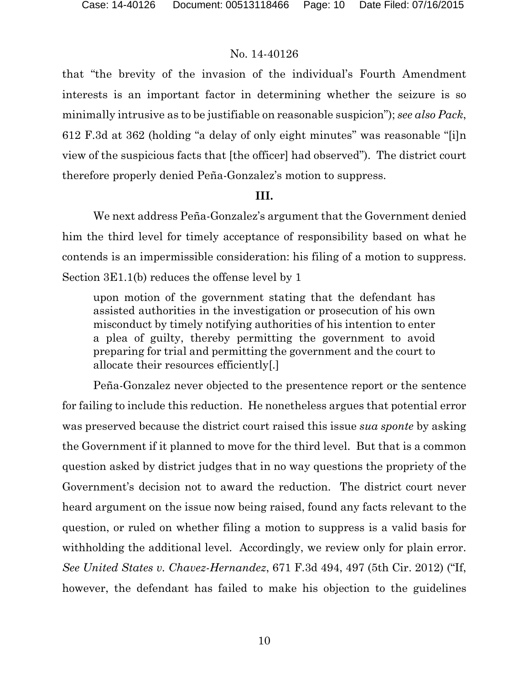that "the brevity of the invasion of the individual's Fourth Amendment interests is an important factor in determining whether the seizure is so minimally intrusive as to be justifiable on reasonable suspicion"); *see also Pack*, 612 F.3d at 362 (holding "a delay of only eight minutes" was reasonable "[i]n view of the suspicious facts that [the officer] had observed"). The district court therefore properly denied Peña-Gonzalez's motion to suppress.

### **III.**

We next address Peña-Gonzalez's argument that the Government denied him the third level for timely acceptance of responsibility based on what he contends is an impermissible consideration: his filing of a motion to suppress. Section 3E1.1(b) reduces the offense level by 1

upon motion of the government stating that the defendant has assisted authorities in the investigation or prosecution of his own misconduct by timely notifying authorities of his intention to enter a plea of guilty, thereby permitting the government to avoid preparing for trial and permitting the government and the court to allocate their resources efficiently[.]

Peña-Gonzalez never objected to the presentence report or the sentence for failing to include this reduction. He nonetheless argues that potential error was preserved because the district court raised this issue *sua sponte* by asking the Government if it planned to move for the third level. But that is a common question asked by district judges that in no way questions the propriety of the Government's decision not to award the reduction. The district court never heard argument on the issue now being raised, found any facts relevant to the question, or ruled on whether filing a motion to suppress is a valid basis for withholding the additional level. Accordingly, we review only for plain error. *See United States v. Chavez-Hernandez*, 671 F.3d 494, 497 (5th Cir. 2012) ("If, however, the defendant has failed to make his objection to the guidelines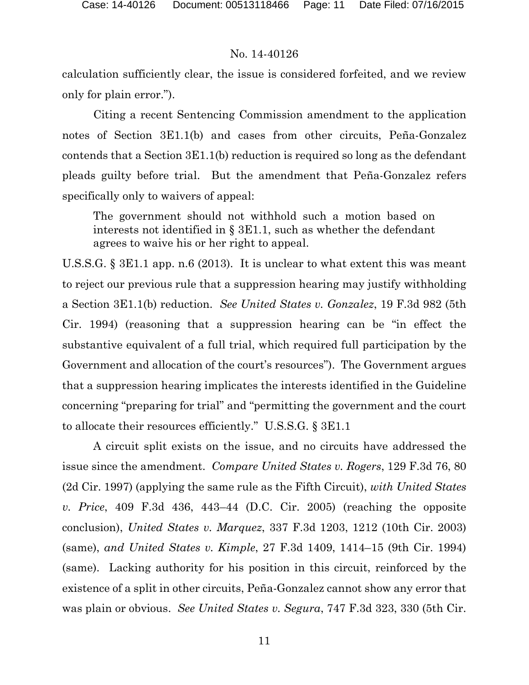calculation sufficiently clear, the issue is considered forfeited, and we review only for plain error.").

Citing a recent Sentencing Commission amendment to the application notes of Section 3E1.1(b) and cases from other circuits, Peña-Gonzalez contends that a Section 3E1.1(b) reduction is required so long as the defendant pleads guilty before trial. But the amendment that Peña-Gonzalez refers specifically only to waivers of appeal:

The government should not withhold such a motion based on interests not identified in § 3E1.1, such as whether the defendant agrees to waive his or her right to appeal.

U.S.S.G. § 3E1.1 app. n.6 (2013). It is unclear to what extent this was meant to reject our previous rule that a suppression hearing may justify withholding a Section 3E1.1(b) reduction. *See United States v. Gonzalez*, 19 F.3d 982 (5th Cir. 1994) (reasoning that a suppression hearing can be "in effect the substantive equivalent of a full trial, which required full participation by the Government and allocation of the court's resources"). The Government argues that a suppression hearing implicates the interests identified in the Guideline concerning "preparing for trial" and "permitting the government and the court to allocate their resources efficiently." U.S.S.G. § 3E1.1

A circuit split exists on the issue, and no circuits have addressed the issue since the amendment. *Compare United States v. Rogers*, 129 F.3d 76, 80 (2d Cir. 1997) (applying the same rule as the Fifth Circuit), *with United States v. Price*, 409 F.3d 436, 443–44 (D.C. Cir. 2005) (reaching the opposite conclusion), *United States v. Marquez*, 337 F.3d 1203, 1212 (10th Cir. 2003) (same), *and United States v. Kimple*, 27 F.3d 1409, 1414–15 (9th Cir. 1994) (same). Lacking authority for his position in this circuit, reinforced by the existence of a split in other circuits, Peña-Gonzalez cannot show any error that was plain or obvious. *See United States v. Segura*, 747 F.3d 323, 330 (5th Cir.